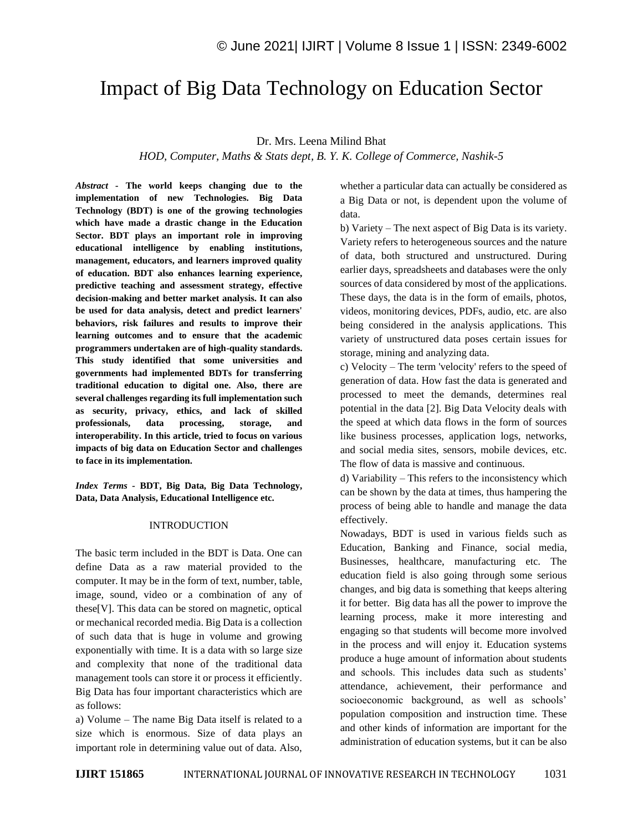# Impact of Big Data Technology on Education Sector

Dr. Mrs. Leena Milind Bhat

*HOD, Computer, Maths & Stats dept, B. Y. K. College of Commerce, Nashik-5*

*Abstract -* **The world keeps changing due to the implementation of new Technologies. Big Data Technology (BDT) is one of the growing technologies which have made a drastic change in the Education Sector. BDT plays an important role in improving educational intelligence by enabling institutions, management, educators, and learners improved quality of education. BDT also enhances learning experience, predictive teaching and assessment strategy, effective decision-making and better market analysis. It can also be used for data analysis, detect and predict learners' behaviors, risk failures and results to improve their learning outcomes and to ensure that the academic programmers undertaken are of high-quality standards. This study identified that some universities and governments had implemented BDTs for transferring traditional education to digital one. Also, there are several challenges regarding its full implementation such as security, privacy, ethics, and lack of skilled professionals, data processing, storage, and interoperability. In this article, tried to focus on various impacts of big data on Education Sector and challenges to face in its implementation.**

*Index Terms -* **BDT, Big Data, Big Data Technology, Data, Data Analysis, Educational Intelligence etc.**

#### INTRODUCTION

The basic term included in the BDT is Data. One can define Data as a raw material provided to the computer. It may be in the form of text, number, table, image, sound, video or a combination of any of these[V]. This data can be stored on magnetic, optical or mechanical recorded media. Big Data is a collection of such data that is huge in volume and growing exponentially with time. It is a data with so large size and complexity that none of the traditional data management tools can store it or process it efficiently. Big Data has four important characteristics which are as follows:

a) Volume – The name Big Data itself is related to a size which is enormous. Size of data plays an important role in determining value out of data. Also, whether a particular data can actually be considered as a Big Data or not, is dependent upon the volume of data.

b) Variety – The next aspect of Big Data is its variety. Variety refers to heterogeneous sources and the nature of data, both structured and unstructured. During earlier days, spreadsheets and databases were the only sources of data considered by most of the applications. These days, the data is in the form of emails, photos, videos, monitoring devices, PDFs, audio, etc. are also being considered in the analysis applications. This variety of unstructured data poses certain issues for storage, mining and analyzing data.

c) Velocity – The term 'velocity' refers to the speed of generation of data. How fast the data is generated and processed to meet the demands, determines real potential in the data [2]. Big Data Velocity deals with the speed at which data flows in the form of sources like business processes, application logs, networks, and social media sites, sensors, mobile devices, etc. The flow of data is massive and continuous.

d) Variability – This refers to the inconsistency which can be shown by the data at times, thus hampering the process of being able to handle and manage the data effectively.

Nowadays, BDT is used in various fields such as Education, Banking and Finance, social media, Businesses, healthcare, manufacturing etc. The education field is also going through some serious changes, and big data is something that keeps altering it for better. Big data has all the power to improve the learning process, make it more interesting and engaging so that students will become more involved in the process and will enjoy it. Education systems produce a huge amount of information about students and schools. This includes data such as students' attendance, achievement, their performance and socioeconomic background, as well as schools' population composition and instruction time. These and other kinds of information are important for the administration of education systems, but it can be also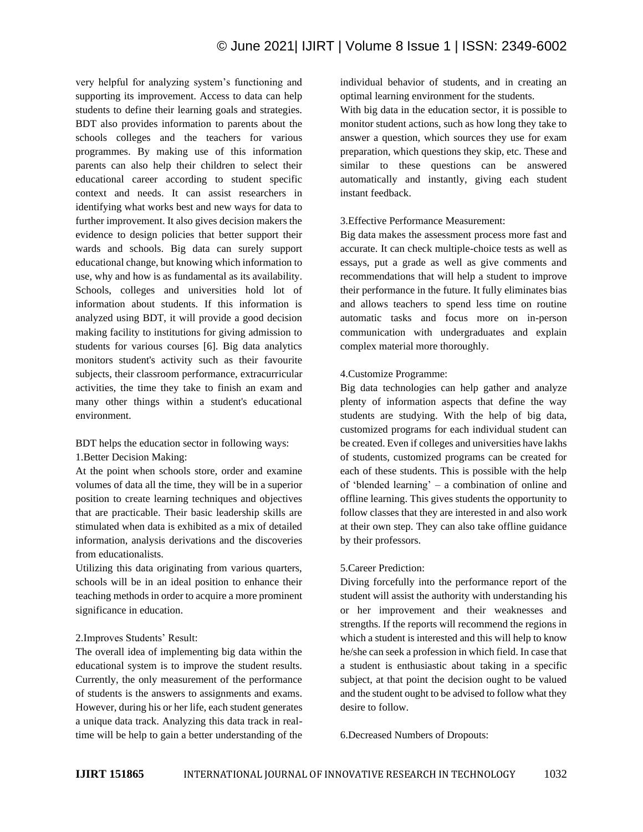very helpful for analyzing system's functioning and supporting its improvement. Access to data can help students to define their learning goals and strategies. BDT also provides information to parents about the schools colleges and the teachers for various programmes. By making use of this information parents can also help their children to select their educational career according to student specific context and needs. It can assist researchers in identifying what works best and new ways for data to further improvement. It also gives decision makers the evidence to design policies that better support their wards and schools. Big data can surely support educational change, but knowing which information to use, why and how is as fundamental as its availability. Schools, colleges and universities hold lot of information about students. If this information is analyzed using BDT, it will provide a good decision making facility to institutions for giving admission to students for various courses [6]. Big data analytics monitors student's activity such as their favourite subjects, their classroom performance, extracurricular activities, the time they take to finish an exam and many other things within a student's educational environment.

BDT helps the education sector in following ways: 1.Better Decision Making:

At the point when schools store, order and examine volumes of data all the time, they will be in a superior position to create learning techniques and objectives that are practicable. Their basic leadership skills are stimulated when data is exhibited as a mix of detailed information, analysis derivations and the discoveries from educationalists.

Utilizing this data originating from various quarters, schools will be in an ideal position to enhance their teaching methods in order to acquire a more prominent significance in education.

#### 2.Improves Students' Result:

The overall idea of implementing big data within the educational system is to improve the student results. Currently, the only measurement of the performance of students is the answers to assignments and exams. However, during his or her life, each student generates a unique data track. Analyzing this data track in realtime will be help to gain a better understanding of the individual behavior of students, and in creating an optimal learning environment for the students.

With big data in the education sector, it is possible to monitor student actions, such as how long they take to answer a question, which sources they use for exam preparation, which questions they skip, etc. These and similar to these questions can be answered automatically and instantly, giving each student instant feedback.

## 3.Effective Performance Measurement:

Big data makes the assessment process more fast and accurate. It can check multiple-choice tests as well as essays, put a grade as well as give comments and recommendations that will help a student to improve their performance in the future. It fully eliminates bias and allows teachers to spend less time on routine automatic tasks and focus more on in-person communication with undergraduates and explain complex material more thoroughly.

## 4.Customize Programme:

Big data technologies can help gather and analyze plenty of information aspects that define the way students are studying. With the help of big data, customized programs for each individual student can be created. Even if colleges and universities have lakhs of students, customized programs can be created for each of these students. This is possible with the help of 'blended learning' – a combination of online and offline learning. This gives students the opportunity to follow classes that they are interested in and also work at their own step. They can also take offline guidance by their professors.

## 5.Career Prediction:

Diving forcefully into the performance report of the student will assist the authority with understanding his or her improvement and their weaknesses and strengths. If the reports will recommend the regions in which a student is interested and this will help to know he/she can seek a profession in which field. In case that a student is enthusiastic about taking in a specific subject, at that point the decision ought to be valued and the student ought to be advised to follow what they desire to follow.

6.Decreased Numbers of Dropouts: